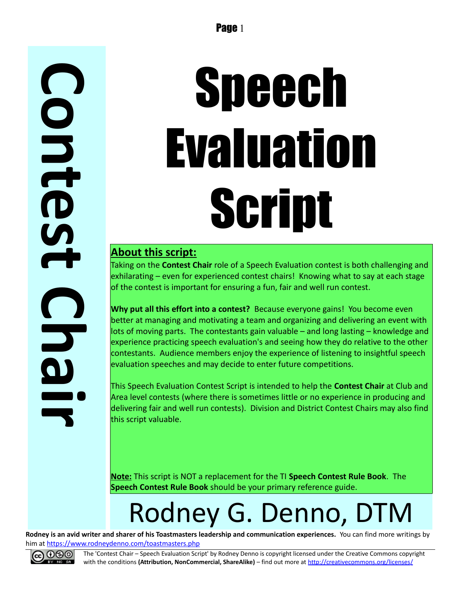# Speech Evaluation Script

#### **About this script:**

Taking on the **Contest Chair** role of a Speech Evaluation contest is both challenging and exhilarating – even for experienced contest chairs! Knowing what to say at each stage of the contest is important for ensuring a fun, fair and well run contest.

**Why put all this effort into a contest?** Because everyone gains! You become even better at managing and motivating a team and organizing and delivering an event with lots of moving parts. The contestants gain valuable – and long lasting – knowledge and experience practicing speech evaluation's and seeing how they do relative to the other contestants. Audience members enjoy the experience of listening to insightful speech evaluation speeches and may decide to enter future competitions.

This Speech Evaluation Contest Script is intended to help the **Contest Chair** at Club and Area level contests (where there is sometimes little or no experience in producing and delivering fair and well run contests). Division and District Contest Chairs may also find this script valuable.

**Note:** This script is NOT a replacement for the TI **Speech Contest Rule Book**. The **Speech Contest Rule Book** should be your primary reference guide.

## Rodney G. Denno, DTM

**Rodney is an avid writer and sharer of his Toastmasters leadership and communication experiences.** You can find more writings by him at<https://www.rodneydenno.com/toastmasters.php>



The 'Contest Chair – Speech Evaluation Script' by Rodney Denno is copyright licensed under the Creative Commons copyright with the conditions (Attribution, NonCommercial, ShareAlike) – find out more at<http://creativecommons.org/licenses/>

**C**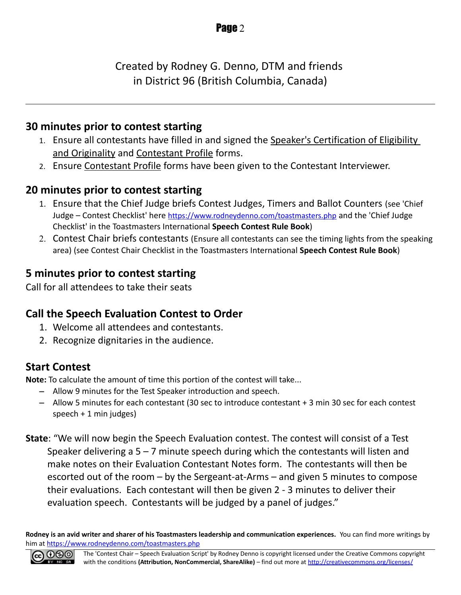Created by Rodney G. Denno, DTM and friends in District 96 (British Columbia, Canada)

#### **30 minutes prior to contest starting**

- 1. Ensure all contestants have filled in and signed the Speaker's Certification of Eligibility and Originality and Contestant Profile forms.
- 2. Ensure Contestant Profile forms have been given to the Contestant Interviewer.

#### **20 minutes prior to contest starting**

- 1. Ensure that the Chief Judge briefs Contest Judges, Timers and Ballot Counters (see 'Chief Judge – Contest Checklist' here <https://www.rodneydenno.com/toastmasters.php> and the 'Chief Judge Checklist' in the Toastmasters International **Speech Contest Rule Book**)
- 2. Contest Chair briefs contestants (Ensure all contestants can see the timing lights from the speaking area) (see Contest Chair Checklist in the Toastmasters International **Speech Contest Rule Book**)

#### **5 minutes prior to contest starting**

Call for all attendees to take their seats

#### **Call the Speech Evaluation Contest to Order**

- 1. Welcome all attendees and contestants.
- 2. Recognize dignitaries in the audience.

#### **Start Contest**

**Note:** To calculate the amount of time this portion of the contest will take...

- Allow 9 minutes for the Test Speaker introduction and speech.
- Allow 5 minutes for each contestant (30 sec to introduce contestant + 3 min 30 sec for each contest speech + 1 min judges)
- **State**: "We will now begin the Speech Evaluation contest. The contest will consist of a Test Speaker delivering a  $5 - 7$  minute speech during which the contestants will listen and make notes on their Evaluation Contestant Notes form. The contestants will then be escorted out of the room – by the Sergeant-at-Arms – and given 5 minutes to compose their evaluations. Each contestant will then be given 2 - 3 minutes to deliver their evaluation speech. Contestants will be judged by a panel of judges."

**Rodney is an avid writer and sharer of his Toastmasters leadership and communication experiences.** You can find more writings by him at<https://www.rodneydenno.com/toastmasters.php>

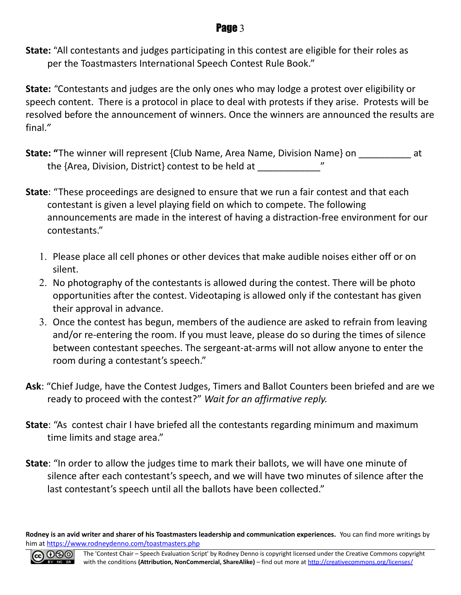**State:** "All contestants and judges participating in this contest are eligible for their roles as per the Toastmasters International Speech Contest Rule Book."

**State:** *"*Contestants and judges are the only ones who may lodge a protest over eligibility or speech content. There is a protocol in place to deal with protests if they arise. Protests will be resolved before the announcement of winners. Once the winners are announced the results are final.*"*

- **State: "**The winner will represent {Club Name, Area Name, Division Name} on  $\qquad$  at the {Area, Division, District} contest to be held at
- **State**: "These proceedings are designed to ensure that we run a fair contest and that each contestant is given a level playing field on which to compete. The following announcements are made in the interest of having a distraction-free environment for our contestants."
	- 1. Please place all cell phones or other devices that make audible noises either off or on silent.
	- 2. No photography of the contestants is allowed during the contest. There will be photo opportunities after the contest. Videotaping is allowed only if the contestant has given their approval in advance.
	- 3. Once the contest has begun, members of the audience are asked to refrain from leaving and/or re-entering the room. If you must leave, please do so during the times of silence between contestant speeches. The sergeant-at-arms will not allow anyone to enter the room during a contestant's speech."
- **Ask**: "Chief Judge, have the Contest Judges, Timers and Ballot Counters been briefed and are we ready to proceed with the contest?" *Wait for an affirmative reply.*
- **State**: "As contest chair I have briefed all the contestants regarding minimum and maximum time limits and stage area."
- **State**: "In order to allow the judges time to mark their ballots, we will have one minute of silence after each contestant's speech, and we will have two minutes of silence after the last contestant's speech until all the ballots have been collected."

**Rodney is an avid writer and sharer of his Toastmasters leadership and communication experiences.** You can find more writings by him at<https://www.rodneydenno.com/toastmasters.php>

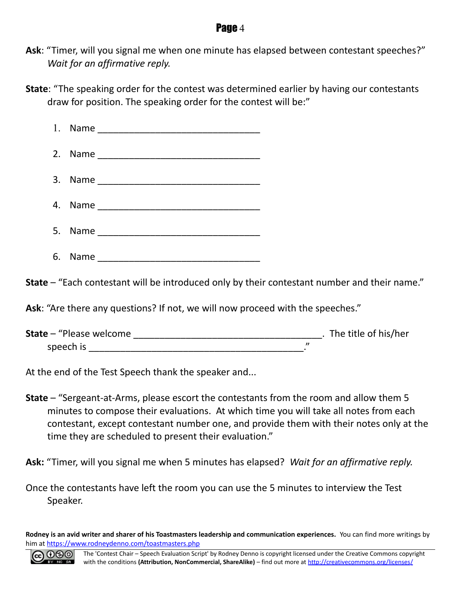- **Ask**: "Timer, will you signal me when one minute has elapsed between contestant speeches?" *Wait for an affirmative reply.*
- **State**: "The speaking order for the contest was determined earlier by having our contestants draw for position. The speaking order for the contest will be:"

| 1. | Name |  |
|----|------|--|
| 2. |      |  |
| 3. |      |  |
| 4. |      |  |
| 5. |      |  |
| 6. | Name |  |

**State** – "Each contestant will be introduced only by their contestant number and their name."

**Ask**: "Are there any questions? If not, we will now proceed with the speeches."

| <b>State</b> - "Please welcome" | . The title of his/her |  |
|---------------------------------|------------------------|--|
| speech is                       |                        |  |

At the end of the Test Speech thank the speaker and...

**State** – "Sergeant-at-Arms, please escort the contestants from the room and allow them 5 minutes to compose their evaluations. At which time you will take all notes from each contestant, except contestant number one, and provide them with their notes only at the time they are scheduled to present their evaluation."

**Ask:** "Timer, will you signal me when 5 minutes has elapsed? *Wait for an affirmative reply.*

Once the contestants have left the room you can use the 5 minutes to interview the Test Speaker.

**Rodney is an avid writer and sharer of his Toastmasters leadership and communication experiences.** You can find more writings by him at<https://www.rodneydenno.com/toastmasters.php>

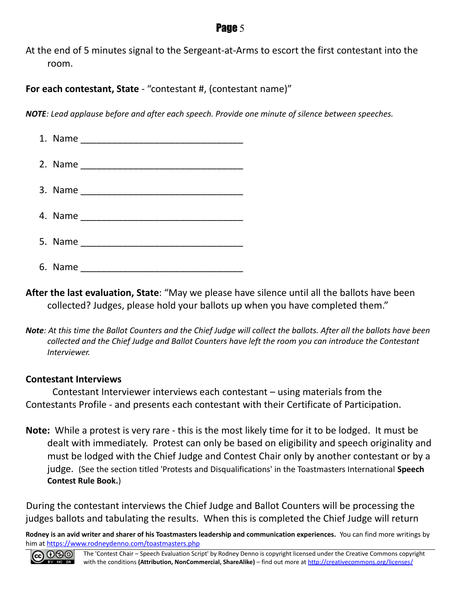At the end of 5 minutes signal to the Sergeant-at-Arms to escort the first contestant into the room.

**For each contestant, State** - "contestant #, (contestant name)"

*NOTE: Lead applause before and after each speech. Provide one minute of silence between speeches.*

**After the last evaluation, State**: "May we please have silence until all the ballots have been collected? Judges, please hold your ballots up when you have completed them."

*Note: At this time the Ballot Counters and the Chief Judge will collect the ballots. After all the ballots have been collected and the Chief Judge and Ballot Counters have left the room you can introduce the Contestant Interviewer.*

#### **Contestant Interviews**

Contestant Interviewer interviews each contestant – using materials from the Contestants Profile - and presents each contestant with their Certificate of Participation.

**Note:** While a protest is very rare - this is the most likely time for it to be lodged. It must be dealt with immediately. Protest can only be based on eligibility and speech originality and must be lodged with the Chief Judge and Contest Chair only by another contestant or by a judge. (See the section titled 'Protests and Disqualifications' in the Toastmasters International **Speech Contest Rule Book.**)

During the contestant interviews the Chief Judge and Ballot Counters will be processing the judges ballots and tabulating the results. When this is completed the Chief Judge will return

**Rodney is an avid writer and sharer of his Toastmasters leadership and communication experiences.** You can find more writings by him at<https://www.rodneydenno.com/toastmasters.php>

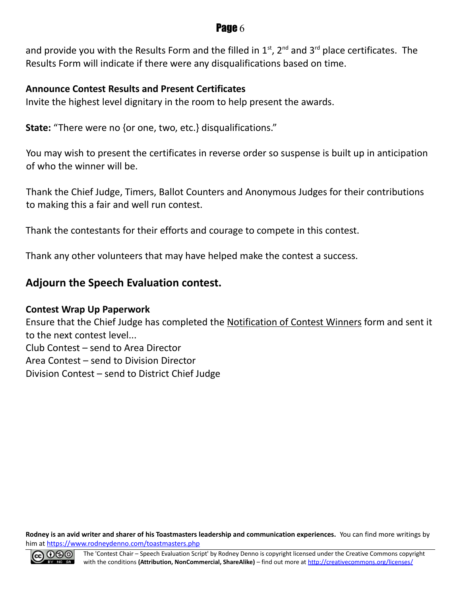and provide you with the Results Form and the filled in  $1^{st}$ ,  $2^{nd}$  and  $3^{rd}$  place certificates. The Results Form will indicate if there were any disqualifications based on time.

#### **Announce Contest Results and Present Certificates**

Invite the highest level dignitary in the room to help present the awards.

**State:** "There were no {or one, two, etc.} disqualifications."

You may wish to present the certificates in reverse order so suspense is built up in anticipation of who the winner will be.

Thank the Chief Judge, Timers, Ballot Counters and Anonymous Judges for their contributions to making this a fair and well run contest.

Thank the contestants for their efforts and courage to compete in this contest.

Thank any other volunteers that may have helped make the contest a success.

#### **Adjourn the Speech Evaluation contest.**

#### **Contest Wrap Up Paperwork**

Ensure that the Chief Judge has completed the Notification of Contest Winners form and sent it to the next contest level... Club Contest – send to Area Director Area Contest – send to Division Director Division Contest – send to District Chief Judge

**Rodney is an avid writer and sharer of his Toastmasters leadership and communication experiences.** You can find more writings by him at<https://www.rodneydenno.com/toastmasters.php>